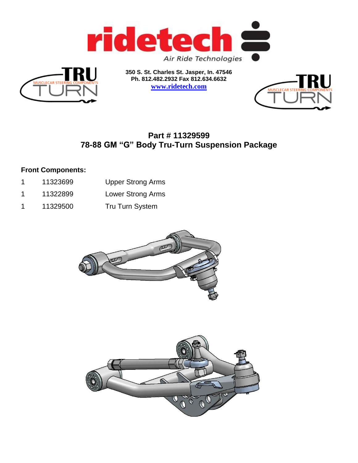



**350 S. St. Charles St. Jasper, In. 47546 Ph. 812.482.2932 Fax 812.634.6632 [www.ridetech.com](http://www.ridetech.com/)**



# **Part # 11329599 78-88 GM "G" Body Tru-Turn Suspension Package**

### **Front Components:**

- 1 11323699 Upper Strong Arms
- 1 11322899 Lower Strong Arms
- 1 11329500 Tru Turn System



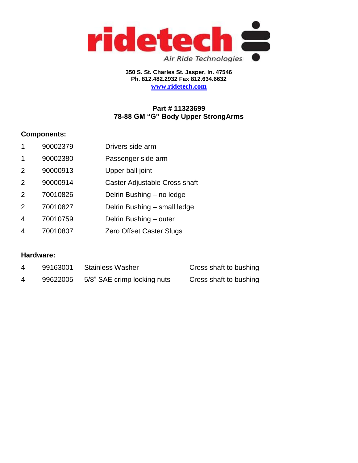

**350 S. St. Charles St. Jasper, In. 47546 Ph. 812.482.2932 Fax 812.634.6632 [www.ridetech.com](http://www.ridetech.com/)**

## **Part # 11323699 78-88 GM "G" Body Upper StrongArms**

### **Components:**

- 1 90002379 Drivers side arm
- 1 90002380 Passenger side arm
- 2 90000913 Upper ball joint
- 2 90000914 Caster Adjustable Cross shaft
- 2 70010826 Delrin Bushing no ledge
- 2 70010827 Delrin Bushing small ledge
- 4 70010759 Delrin Bushing outer
- 4 70010807 Zero Offset Caster Slugs

### **Hardware:**

| 99163001 | Stainless Washer            | Cross shaft to bushing |
|----------|-----------------------------|------------------------|
| 99622005 | 5/8" SAE crimp locking nuts | Cross shaft to bushing |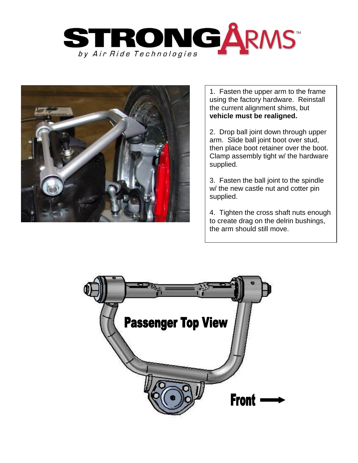



1. Fasten the upper arm to the frame using the factory hardware. Reinstall the current alignment shims, but **vehicle must be realigned.** 

2. Drop ball joint down through upper arm. Slide ball joint boot over stud, then place boot retainer over the boot. Clamp assembly tight w/ the hardware supplied.

3. Fasten the ball joint to the spindle w/ the new castle nut and cotter pin supplied.

4. Tighten the cross shaft nuts enough to create drag on the delrin bushings, the arm should still move.

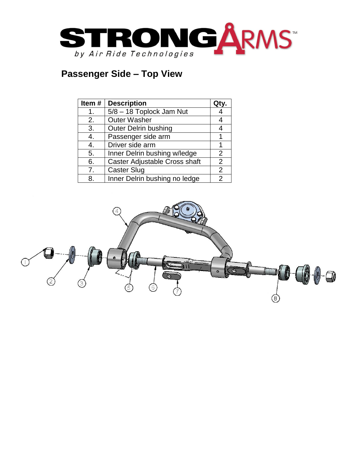

# **Passenger Side – Top View**

| Item# | <b>Description</b>            |                |
|-------|-------------------------------|----------------|
| 1.    | 5/8 - 18 Toplock Jam Nut      |                |
| 2.    | <b>Outer Washer</b>           |                |
| 3.    | <b>Outer Delrin bushing</b>   |                |
| 4.    | Passenger side arm            |                |
| 4.    | Driver side arm               |                |
| 5.    | Inner Delrin bushing w/ledge  | $\overline{2}$ |
| 6.    | Caster Adjustable Cross shaft | $\overline{2}$ |
| 7.    | <b>Caster Slug</b>            | $\overline{2}$ |
| 8.    | Inner Delrin bushing no ledge | 2              |

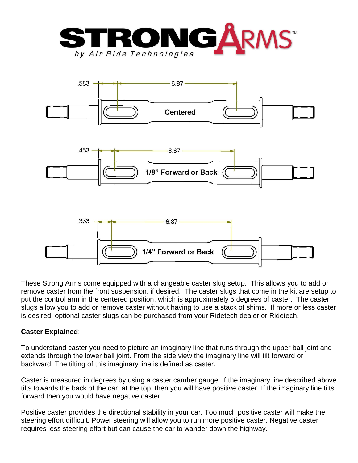







These Strong Arms come equipped with a changeable caster slug setup. This allows you to add or remove caster from the front suspension, if desired. The caster slugs that come in the kit are setup to put the control arm in the centered position, which is approximately 5 degrees of caster. The caster slugs allow you to add or remove caster without having to use a stack of shims. If more or less caster is desired, optional caster slugs can be purchased from your Ridetech dealer or Ridetech.

### **Caster Explained**:

To understand caster you need to picture an imaginary line that runs through the upper ball joint and extends through the lower ball joint. From the side view the imaginary line will tilt forward or backward. The tilting of this imaginary line is defined as caster.

Caster is measured in degrees by using a caster camber gauge. If the imaginary line described above tilts towards the back of the car, at the top, then you will have positive caster. If the imaginary line tilts forward then you would have negative caster.

Positive caster provides the directional stability in your car. Too much positive caster will make the steering effort difficult. Power steering will allow you to run more positive caster. Negative caster requires less steering effort but can cause the car to wander down the highway.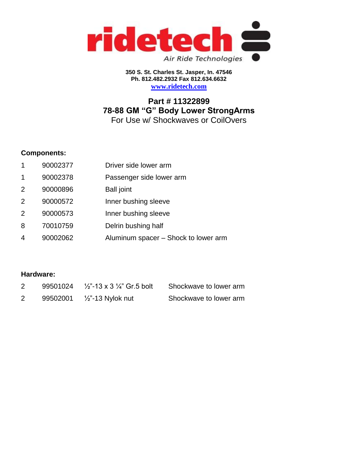

**350 S. St. Charles St. Jasper, In. 47546 Ph. 812.482.2932 Fax 812.634.6632 [www.ridetech.com](http://www.ridetech.com/)**

# **Part # 11322899 78-88 GM "G" Body Lower StrongArms** For Use w/ Shockwaves or CoilOvers

### **Components:**

- 1 90002377 Driver side lower arm
- 1 90002378 Passenger side lower arm
- 2 90000896 Ball joint
- 2 90000572 Inner bushing sleeve
- 2 90000573 Inner bushing sleeve
- 8 70010759 Delrin bushing half
- 4 90002062 Aluminum spacer Shock to lower arm

### **Hardware:**

|  | 99501024 $\frac{1}{2}$ 13 x 3 $\frac{1}{4}$ Gr.5 bolt | Shockwave to lower arm |
|--|-------------------------------------------------------|------------------------|
|  | 99502001     /2"-13 Nylok nut                         | Shockwave to lower arm |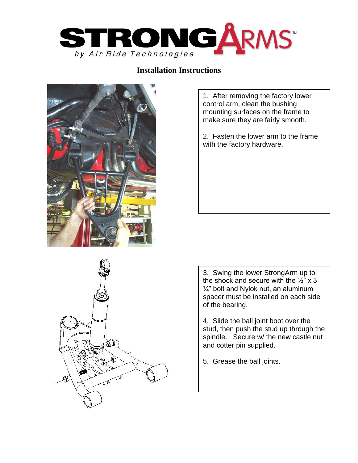

### **Installation Instructions**



ŐĬ

1. After removing the factory lower control arm, clean the bushing mounting surfaces on the frame to make sure they are fairly smooth.

2. Fasten the lower arm to the frame with the factory hardware.

3. Swing the lower StrongArm up to the shock and secure with the  $\frac{1}{2}$ " x 3  $\frac{1}{4}$ " bolt and Nylok nut, an aluminum spacer must be installed on each side of the bearing.

4. Slide the ball joint boot over the stud, then push the stud up through the spindle. Secure w/ the new castle nut and cotter pin supplied.

5. Grease the ball joints.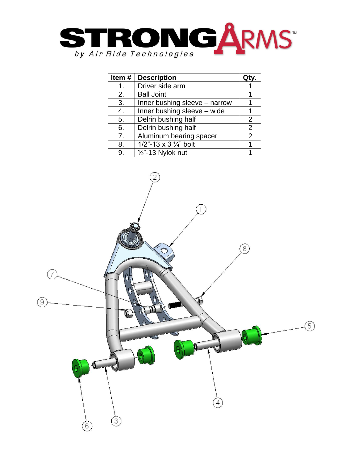

| Item#         | <b>Description</b>               |   |
|---------------|----------------------------------|---|
| $\mathbf 1$ . | Driver side arm                  |   |
| 2.            | <b>Ball Joint</b>                |   |
| 3.            | Inner bushing sleeve - narrow    |   |
| 4.            | Inner bushing sleeve - wide      |   |
| 5.            | Delrin bushing half              | 2 |
| 6.            | Delrin bushing half              | 2 |
| 7.            | Aluminum bearing spacer          | 2 |
| 8.            | 1/2"-13 x 3 $\frac{1}{4}$ " bolt |   |
| 9.            | $\frac{1}{2}$ "-13 Nylok nut     |   |

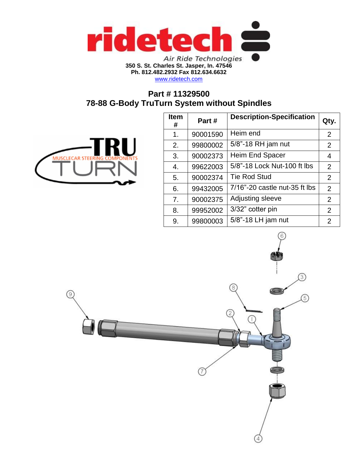

**Ph. 812.482.2932 Fax 812.634.6632**

[www.ridetech.com](http://www.ridetech.com/)

# **Part # 11329500 78-88 G-Body TruTurn System without Spindles**



| <b>Item</b><br># | Part#    | <b>Description-Specification</b> | Qty.           |
|------------------|----------|----------------------------------|----------------|
| 1.               | 90001590 | Heim end                         | 2              |
| 2.               | 99800002 | 5/8"-18 RH jam nut               | $\overline{2}$ |
| 3.               | 90002373 | <b>Heim End Spacer</b>           | 4              |
| 4.               | 99622003 | 5/8"-18 Lock Nut-100 ft lbs      | $\overline{2}$ |
| 5.               | 90002374 | <b>Tie Rod Stud</b>              | 2              |
| 6.               | 99432005 | 7/16"-20 castle nut-35 ft lbs    | $\overline{2}$ |
| 7 <sub>1</sub>   | 90002375 | Adjusting sleeve                 | 2              |
| 8.               | 99952002 | 3/32" cotter pin                 | 2              |
| 9.               | 99800003 | 5/8"-18 LH jam nut               | $\overline{2}$ |